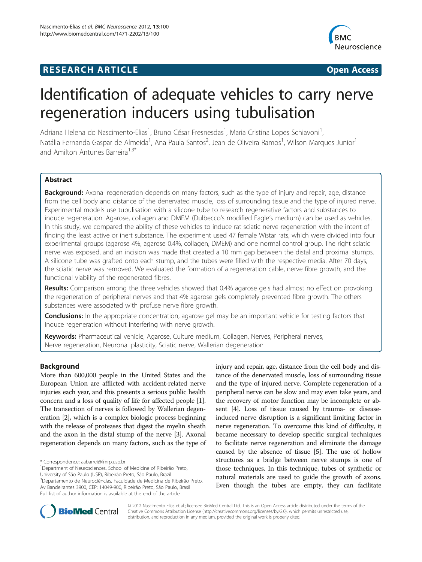# **RESEARCH ARTICLE Example 2018 12:00 Department of the CONNECTION CONNECTION CONNECTION CONNECTION**



# Identification of adequate vehicles to carry nerve regeneration inducers using tubulisation

Adriana Helena do Nascimento-Elias<sup>1</sup>, Bruno César Fresnesdas<sup>1</sup>, Maria Cristina Lopes Schiavoni<sup>1</sup> , Natália Fernanda Gaspar de Almeida<sup>1</sup>, Ana Paula Santos<sup>2</sup>, Jean de Oliveira Ramos<sup>1</sup>, Wilson Marques Junior<sup>1</sup> and Amilton Antunes Barreira<sup>1,3\*</sup>

# Abstract

Background: Axonal regeneration depends on many factors, such as the type of injury and repair, age, distance from the cell body and distance of the denervated muscle, loss of surrounding tissue and the type of injured nerve. Experimental models use tubulisation with a silicone tube to research regenerative factors and substances to induce regeneration. Agarose, collagen and DMEM (Dulbecco's modified Eagle's medium) can be used as vehicles. In this study, we compared the ability of these vehicles to induce rat sciatic nerve regeneration with the intent of finding the least active or inert substance. The experiment used 47 female Wistar rats, which were divided into four experimental groups (agarose 4%, agarose 0.4%, collagen, DMEM) and one normal control group. The right sciatic nerve was exposed, and an incision was made that created a 10 mm gap between the distal and proximal stumps. A silicone tube was grafted onto each stump, and the tubes were filled with the respective media. After 70 days, the sciatic nerve was removed. We evaluated the formation of a regeneration cable, nerve fibre growth, and the functional viability of the regenerated fibres.

Results: Comparison among the three vehicles showed that 0.4% agarose gels had almost no effect on provoking the regeneration of peripheral nerves and that 4% agarose gels completely prevented fibre growth. The others substances were associated with profuse nerve fibre growth.

**Conclusions:** In the appropriate concentration, agarose gel may be an important vehicle for testing factors that induce regeneration without interfering with nerve growth.

Keywords: Pharmaceutical vehicle, Agarose, Culture medium, Collagen, Nerves, Peripheral nerves, Nerve regeneration, Neuronal plasticity, Sciatic nerve, Wallerian degeneration

# Background

More than 600,000 people in the United States and the European Union are afflicted with accident-related nerve injuries each year, and this presents a serious public health concern and a loss of quality of life for affected people [[1](#page-7-0)]. The transection of nerves is followed by Wallerian degeneration [[2](#page-7-0)], which is a complex biologic process beginning with the release of proteases that digest the myelin sheath and the axon in the distal stump of the nerve [[3\]](#page-7-0). Axonal regeneration depends on many factors, such as the type of

injury and repair, age, distance from the cell body and distance of the denervated muscle, loss of surrounding tissue and the type of injured nerve. Complete regeneration of a peripheral nerve can be slow and may even take years, and the recovery of motor function may be incomplete or absent [\[4](#page-7-0)]. Loss of tissue caused by trauma- or diseaseinduced nerve disruption is a significant limiting factor in nerve regeneration. To overcome this kind of difficulty, it became necessary to develop specific surgical techniques to facilitate nerve regeneration and eliminate the damage caused by the absence of tissue [[5\]](#page-7-0). The use of hollow structures as a bridge between nerve stumps is one of those techniques. In this technique, tubes of synthetic or natural materials are used to guide the growth of axons. Even though the tubes are empty, they can facilitate



© 2012 Nascimento-Elias et al.; licensee BioMed Central Ltd. This is an Open Access article distributed under the terms of the Creative Commons Attribution License (<http://creativecommons.org/licenses/by/2.0>), which permits unrestricted use, distribution, and reproduction in any medium, provided the original work is properly cited.

<sup>\*</sup> Correspondence: [aabarrei@fmrp.usp.br](mailto:aabarrei@fmrp.usp.br) <sup>1</sup>

<sup>&</sup>lt;sup>1</sup>Department of Neurosciences, School of Medicine of Ribeirão Preto, University of São Paulo (USP), Ribeirão Preto, São Paulo, Brazil <sup>3</sup>Departamento de Neurociências, Faculdade de Medicina de Ribeirão Preto,

Av Bandeirantes 3900, CEP: 14049-900, Ribeirão Preto, São Paulo, Brasil Full list of author information is available at the end of the article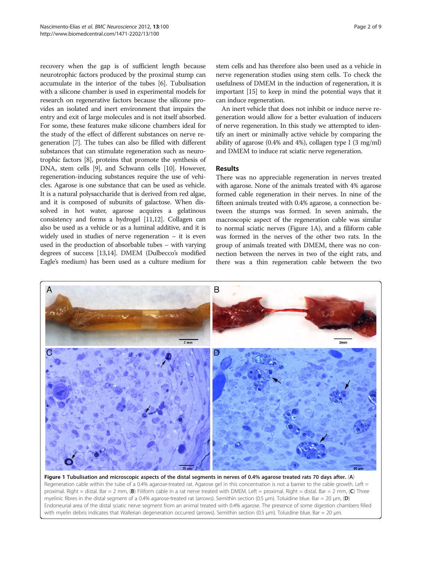<span id="page-1-0"></span>recovery when the gap is of sufficient length because neurotrophic factors produced by the proximal stump can accumulate in the interior of the tubes [\[6\]](#page-7-0). Tubulisation with a silicone chamber is used in experimental models for research on regenerative factors because the silicone provides an isolated and inert environment that impairs the entry and exit of large molecules and is not itself absorbed. For some, these features make silicone chambers ideal for the study of the effect of different substances on nerve regeneration [\[7](#page-7-0)]. The tubes can also be filled with different substances that can stimulate regeneration such as neurotrophic factors [[8\]](#page-7-0), proteins that promote the synthesis of DNA, stem cells [\[9\]](#page-7-0), and Schwann cells [\[10\]](#page-7-0). However, regeneration-inducing substances require the use of vehicles. Agarose is one substance that can be used as vehicle. It is a natural polysaccharide that is derived from red algae, and it is composed of subunits of galactose. When dissolved in hot water, agarose acquires a gelatinous consistency and forms a hydrogel [\[11,12\]](#page-7-0). Collagen can also be used as a vehicle or as a luminal additive, and it is widely used in studies of nerve regeneration – it is even used in the production of absorbable tubes – with varying degrees of success [[13,14\]](#page-7-0). DMEM (Dulbecco's modified Eagle's medium) has been used as a culture medium for stem cells and has therefore also been used as a vehicle in nerve regeneration studies using stem cells. To check the usefulness of DMEM in the induction of regeneration, it is important [\[15\]](#page-7-0) to keep in mind the potential ways that it can induce regeneration.

An inert vehicle that does not inhibit or induce nerve regeneration would allow for a better evaluation of inducers of nerve regeneration. In this study we attempted to identify an inert or minimally active vehicle by comparing the ability of agarose (0.4% and 4%), collagen type I (3 mg/ml) and DMEM to induce rat sciatic nerve regeneration.

# Results

There was no appreciable regeneration in nerves treated with agarose. None of the animals treated with 4% agarose formed cable regeneration in their nerves. In nine of the fifteen animals treated with 0.4% agarose, a connection between the stumps was formed. In seven animals, the macroscopic aspect of the regeneration cable was similar to normal sciatic nerves (Figure 1A), and a filiform cable was formed in the nerves of the other two rats. In the group of animals treated with DMEM, there was no connection between the nerves in two of the eight rats, and there was a thin regeneration cable between the two



Figure 1 Tubulisation and microscopic aspects of the distal segments in nerves of 0.4% agarose treated rats 70 days after. (A) Regeneration cable within the tube of a 0.4% agarose-treated rat. Agarose gel in this concentration is not a barrier to the cable growth. Left = proximal. Right = distal. Bar = 2 mm,  $(B)$  Filiform cable in a rat nerve treated with DMEM. Left = proximal. Right = distal. Bar = 2 mm,  $(C)$  Three myelinic fibres in the distal segment of a 0.4% agarose-treated rat (arrows). Semithin section (0.5 µm). Toluidine blue. Bar = 20 µm,  $(D)$ Endoneurial area of the distal sciatic nerve segment from an animal treated with 0.4% agarose. The presence of some digestion chambers filled with myelin debris indicates that Wallerian degeneration occurred (arrows). Semithin section (0.5 μm). Toluidine blue. Bar = 20 μm.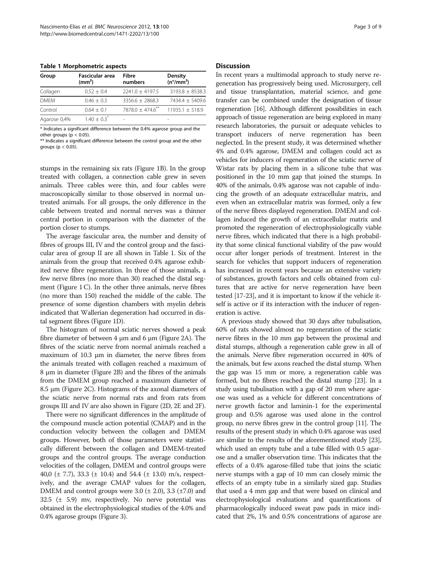Table 1 Morphometric aspects

| Group        | <b>Fascicular area</b><br>(mm <sup>2</sup> ) | Fibre<br>numbers      | <b>Density</b><br>$(n^{\circ}/mm^2)$ |
|--------------|----------------------------------------------|-----------------------|--------------------------------------|
| Collagen     | $0.52 + 0.4$                                 | $2241.0 + 4197.5$     | $3193.8 + 8538.3$                    |
| <b>DMEM</b>  | $0.46 + 0.3$                                 | $3356.6 + 2868.3$     | 7434.4 ± 5409.6                      |
| Control      | $0.64 + 0.1$                                 | $7878.0 \pm 474.6$ ** | $11935.1 + 518.9$                    |
| Agarose 0,4% | $1.40 \pm 0.3$ <sup>*</sup>                  |                       |                                      |

\* Indicates a significant difference between the 0.4% agarose group and the other groups ( $p < 0.05$ ).

\*\* Indicates a significant difference between the control group and the other groups ( $p < 0.05$ ).

stumps in the remaining six rats (Figure [1B\)](#page-1-0). In the group treated with collagen, a connection cable grew in seven animals. Three cables were thin, and four cables were macroscopically similar to those observed in normal untreated animals. For all groups, the only difference in the cable between treated and normal nerves was a thinner central portion in comparison with the diameter of the portion closer to stumps.

The average fascicular area, the number and density of fibres of groups III, IV and the control group and the fascicular area of group II are all shown in Table 1. Six of the animals from the group that received 0.4% agarose exhibited nerve fibre regeneration. In three of those animals, a few nerve fibres (no more than 30) reached the distal segment (Figure [1](#page-1-0) C). In the other three animals, nerve fibres (no more than 150) reached the middle of the cable. The presence of some digestion chambers with myelin debris indicated that Wallerian degeneration had occurred in distal segment fibres (Figure [1D](#page-1-0)).

The histogram of normal sciatic nerves showed a peak fibre diameter of between 4 μm and 6 μm (Figure [2A\)](#page-3-0). The fibres of the sciatic nerve from normal animals reached a maximum of 10.3 μm in diameter, the nerve fibres from the animals treated with collagen reached a maximum of 8 μm in diameter (Figure [2B](#page-3-0)) and the fibres of the animals from the DMEM group reached a maximum diameter of 8.5 μm (Figure [2C\)](#page-3-0). Histograms of the axonal diameters of the sciatic nerve from normal rats and from rats from groups III and IV are also shown in Figure [\(2D, 2E](#page-3-0) and [2F](#page-3-0)).

There were no significant differences in the amplitude of the compound muscle action potential (CMAP) and in the conduction velocity between the collagen and DMEM groups. However, both of those parameters were statistically different between the collagen and DMEM-treated groups and the control groups. The average conduction velocities of the collagen, DMEM and control groups were 40,0 (± 7.7), 33.3 (± 10.4) and 54.4 (± 13.0) m/s, respectively, and the average CMAP values for the collagen, DMEM and control groups were 3.0  $(\pm 2.0)$ , 3.3  $(\pm 7.0)$  and 32.5  $(\pm 5.9)$  mv, respectively. No nerve potential was obtained in the electrophysiological studies of the 4.0% and 0.4% agarose groups (Figure [3\)](#page-4-0).

#### **Discussion**

In recent years a multimodal approach to study nerve regeneration has progressively being used. Microsurgery, cell and tissue transplantation, material science, and gene transfer can be combined under the designation of tissue regeneration [[16](#page-7-0)]. Although different possibilities in each approach of tissue regeneration are being explored in many research laboratories, the pursuit or adequate vehicles to transport inducers of nerve regeneration has been neglected. In the present study, it was determined whether 4% and 0.4% agarose, DMEM and collagen could act as vehicles for inducers of regeneration of the sciatic nerve of Wistar rats by placing them in a silicone tube that was positioned in the 10 mm gap that joined the stumps. In 40% of the animals, 0.4% agarose was not capable of inducing the growth of an adequate extracellular matrix, and even when an extracellular matrix was formed, only a few of the nerve fibres displayed regeneration. DMEM and collagen induced the growth of an extracellular matrix and promoted the regeneration of electrophysiologically viable nerve fibres, which indicated that there is a high probability that some clinical functional viability of the paw would occur after longer periods of treatment. Interest in the search for vehicles that support inducers of regeneration has increased in recent years because an extensive variety of substances, growth factors and cells obtained from cultures that are active for nerve regeneration have been tested [[17](#page-7-0)-[23](#page-7-0)], and it is important to know if the vehicle itself is active or if its interaction with the inducer of regeneration is active.

A previous study showed that 30 days after tubulisation, 60% of rats showed almost no regeneration of the sciatic nerve fibres in the 10 mm gap between the proximal and distal stumps, although a regeneration cable grew in all of the animals. Nerve fibre regeneration occurred in 40% of the animals, but few axons reached the distal stump. When the gap was 15 mm or more, a regeneration cable was formed, but no fibres reached the distal stump [\[23\]](#page-7-0). In a study using tubulisation with a gap of 20 mm where agarose was used as a vehicle for different concentrations of nerve growth factor and laminin-1 for the experimental group and 0.5% agarose was used alone in the control group, no nerve fibres grew in the control group [\[11\]](#page-7-0). The results of the present study in which 0.4% agarose was used are similar to the results of the aforementioned study [[23](#page-7-0)], which used an empty tube and a tube filled with 0.5 agarose and a smaller observation time. This indicates that the effects of a 0.4% agarose-filled tube that joins the sciatic nerve stumps with a gap of 10 mm can closely mimic the effects of an empty tube in a similarly sized gap. Studies that used a 4 mm gap and that were based on clinical and electrophysiological evaluations and quantifications of pharmacologically induced sweat paw pads in mice indicated that 2%, 1% and 0.5% concentrations of agarose are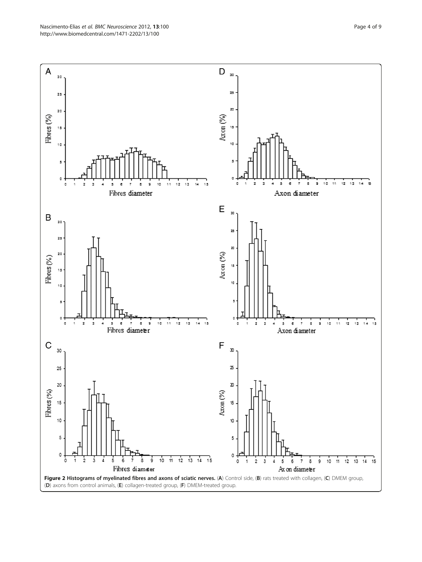<span id="page-3-0"></span>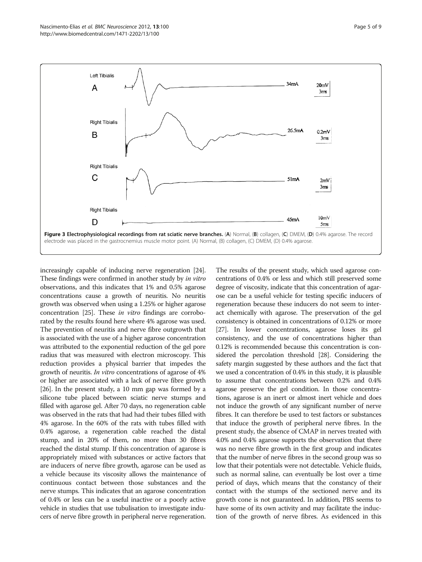<span id="page-4-0"></span>

increasingly capable of inducing nerve regeneration [[24](#page-7-0)]. These findings were confirmed in another study by in vitro observations, and this indicates that 1% and 0.5% agarose concentrations cause a growth of neuritis. No neuritis growth was observed when using a 1.25% or higher agarose concentration [\[25\]](#page-7-0). These in vitro findings are corroborated by the results found here where 4% agarose was used. The prevention of neuritis and nerve fibre outgrowth that is associated with the use of a higher agarose concentration was attributed to the exponential reduction of the gel pore radius that was measured with electron microscopy. This reduction provides a physical barrier that impedes the growth of neuritis. In vitro concentrations of agarose of 4% or higher are associated with a lack of nerve fibre growth [[26](#page-7-0)]. In the present study, a 10 mm gap was formed by a silicone tube placed between sciatic nerve stumps and filled with agarose gel. After 70 days, no regeneration cable was observed in the rats that had had their tubes filled with 4% agarose. In the 60% of the rats with tubes filled with 0.4% agarose, a regeneration cable reached the distal stump, and in 20% of them, no more than 30 fibres reached the distal stump. If this concentration of agarose is appropriately mixed with substances or active factors that are inducers of nerve fibre growth, agarose can be used as a vehicle because its viscosity allows the maintenance of continuous contact between those substances and the nerve stumps. This indicates that an agarose concentration of 0.4% or less can be a useful inactive or a poorly active vehicle in studies that use tubulisation to investigate inducers of nerve fibre growth in peripheral nerve regeneration. The results of the present study, which used agarose concentrations of 0.4% or less and which still preserved some degree of viscosity, indicate that this concentration of agarose can be a useful vehicle for testing specific inducers of regeneration because these inducers do not seem to interact chemically with agarose. The preservation of the gel consistency is obtained in concentrations of 0.12% or more [[27](#page-7-0)]. In lower concentrations, agarose loses its gel consistency, and the use of concentrations higher than 0.12% is recommended because this concentration is considered the percolation threshold [\[28\]](#page-7-0). Considering the safety margin suggested by these authors and the fact that we used a concentration of 0.4% in this study, it is plausible to assume that concentrations between 0.2% and 0.4% agarose preserve the gel condition. In those concentrations, agarose is an inert or almost inert vehicle and does not induce the growth of any significant number of nerve fibres. It can therefore be used to test factors or substances that induce the growth of peripheral nerve fibres. In the present study, the absence of CMAP in nerves treated with 4.0% and 0.4% agarose supports the observation that there was no nerve fibre growth in the first group and indicates that the number of nerve fibres in the second group was so low that their potentials were not detectable. Vehicle fluids, such as normal saline, can eventually be lost over a time period of days, which means that the constancy of their contact with the stumps of the sectioned nerve and its growth cone is not guaranteed. In addition, PBS seems to have some of its own activity and may facilitate the induction of the growth of nerve fibres. As evidenced in this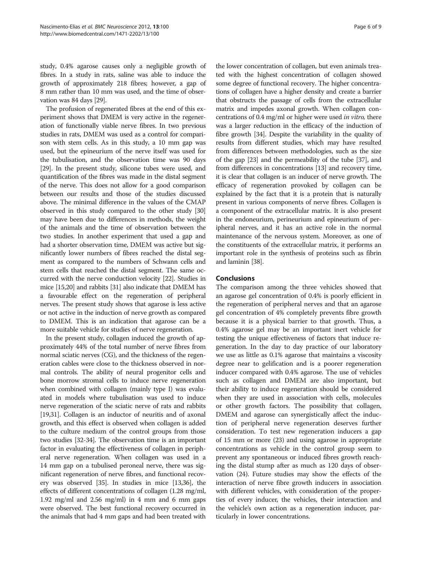study, 0.4% agarose causes only a negligible growth of fibres. In a study in rats, saline was able to induce the growth of approximately 218 fibres; however, a gap of 8 mm rather than 10 mm was used, and the time of observation was 84 days [\[29\]](#page-7-0).

The profusion of regenerated fibres at the end of this experiment shows that DMEM is very active in the regeneration of functionally viable nerve fibres. In two previous studies in rats, DMEM was used as a control for comparison with stem cells. As in this study, a 10 mm gap was used, but the epineurium of the nerve itself was used for the tubulisation, and the observation time was 90 days [[29](#page-7-0)]. In the present study, silicone tubes were used, and quantification of the fibres was made in the distal segment of the nerve. This does not allow for a good comparison between our results and those of the studies discussed above. The minimal difference in the values of the CMAP observed in this study compared to the other study [\[30](#page-7-0)] may have been due to differences in methods, the weight of the animals and the time of observation between the two studies. In another experiment that used a gap and had a shorter observation time, DMEM was active but significantly lower numbers of fibres reached the distal segment as compared to the numbers of Schwann cells and stem cells that reached the distal segment. The same occurred with the nerve conduction velocity [[22](#page-7-0)]. Studies in mice [\[15,20\]](#page-7-0) and rabbits [\[31](#page-7-0)] also indicate that DMEM has a favourable effect on the regeneration of peripheral nerves. The present study shows that agarose is less active or not active in the induction of nerve growth as compared to DMEM. This is an indication that agarose can be a more suitable vehicle for studies of nerve regeneration.

In the present study, collagen induced the growth of approximately 44% of the total number of nerve fibres from normal sciatic nerves (CG), and the thickness of the regeneration cables were close to the thickness observed in normal controls. The ability of neural progenitor cells and bone morrow stromal cells to induce nerve regeneration when combined with collagen (mainly type I) was evaluated in models where tubulisation was used to induce nerve regeneration of the sciatic nerve of rats and rabbits [[19,31\]](#page-7-0). Collagen is an inductor of neuritis and of axonal growth, and this effect is observed when collagen is added to the culture medium of the control groups from those two studies [\[32](#page-7-0)[-34\]](#page-8-0). The observation time is an important factor in evaluating the effectiveness of collagen in peripheral nerve regeneration. When collagen was used in a 14 mm gap on a tubulised peroneal nerve, there was significant regeneration of nerve fibres, and functional recovery was observed [[35](#page-8-0)]. In studies in mice [\[13,](#page-7-0)[36](#page-8-0)], the effects of different concentrations of collagen (1.28 mg/ml, 1.92 mg/ml and 2.56 mg/ml) in 4 mm and 6 mm gaps were observed. The best functional recovery occurred in the animals that had 4 mm gaps and had been treated with

the lower concentration of collagen, but even animals treated with the highest concentration of collagen showed some degree of functional recovery. The higher concentrations of collagen have a higher density and create a barrier that obstructs the passage of cells from the extracellular matrix and impedes axonal growth. When collagen concentrations of 0.4 mg/ml or higher were used in vitro, there was a larger reduction in the efficacy of the induction of fibre growth [\[34\]](#page-8-0). Despite the variability in the quality of results from different studies, which may have resulted from differences between methodologies, such as the size of the gap [\[23\]](#page-7-0) and the permeability of the tube [[37](#page-8-0)], and from differences in concentrations [\[13\]](#page-7-0) and recovery time, it is clear that collagen is an inducer of nerve growth. The efficacy of regeneration provoked by collagen can be explained by the fact that it is a protein that is naturally present in various components of nerve fibres. Collagen is a component of the extracellular matrix. It is also present in the endoneurium, perineurium and epineurium of peripheral nerves, and it has an active role in the normal maintenance of the nervous system. Moreover, as one of the constituents of the extracellular matrix, it performs an important role in the synthesis of proteins such as fibrin and laminin [[38](#page-8-0)].

# Conclusions

The comparison among the three vehicles showed that an agarose gel concentration of 0.4% is poorly efficient in the regeneration of peripheral nerves and that an agarose gel concentration of 4% completely prevents fibre growth because it is a physical barrier to that growth. Thus, a 0.4% agarose gel may be an important inert vehicle for testing the unique effectiveness of factors that induce regeneration. In the day to day practice of our laboratory we use as little as 0.1% agarose that maintains a viscosity degree near to gelification and is a poorer regeneration inducer compared with 0.4% agarose. The use of vehicles such as collagen and DMEM are also important, but their ability to induce regeneration should be considered when they are used in association with cells, molecules or other growth factors. The possibility that collagen, DMEM and agarose can synergistically affect the induction of peripheral nerve regeneration deserves further consideration. To test new regeneration inducers a gap of 15 mm or more (23) and using agarose in appropriate concentrations as vehicle in the control group seem to prevent any spontaneous or induced fibres growth reaching the distal stump after as much as 120 days of observation (24). Future studies may show the effects of the interaction of nerve fibre growth inducers in association with different vehicles, with consideration of the properties of every inducer, the vehicles, their interaction and the vehicle's own action as a regeneration inducer, particularly in lower concentrations.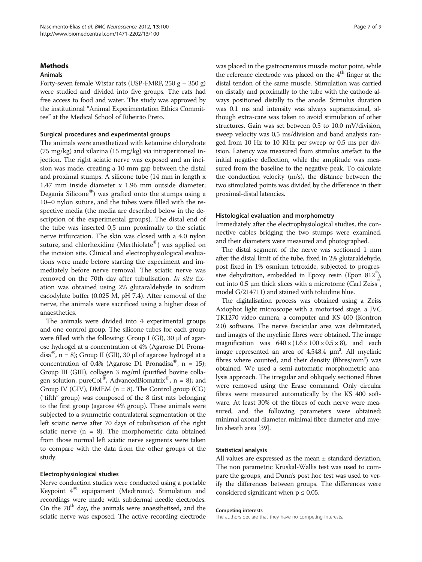#### **Methods**

# Animals

Forty-seven female Wistar rats (USP-FMRP,  $250 g - 350 g$ ) were studied and divided into five groups. The rats had free access to food and water. The study was approved by the institutional "Animal Experimentation Ethics Committee" at the Medical School of Ribeirão Preto.

#### Surgical procedures and experimental groups

The animals were anesthetized with ketamine chlorydrate (75 mg/kg) and xilazina (15 mg/kg) via intraperitoneal injection. The right sciatic nerve was exposed and an incision was made, creating a 10 mm gap between the distal and proximal stumps. A silicone tube (14 mm in length x 1.47 mm inside diameter x 1.96 mm outside diameter; Degania Silicone<sup>®</sup>) was grafted onto the stumps using a 10–0 nylon suture, and the tubes were filled with the respective media (the media are described below in the description of the experimental groups). The distal end of the tube was inserted 0,5 mm proximally to the sciatic nerve trifurcation. The skin was closed with a 4.0 nylon suture, and chlorhexidine (Merthiolate $^{\circledR}$ ) was applied on the incision site. Clinical and electrophysiological evaluations were made before starting the experiment and immediately before nerve removal. The sciatic nerve was removed on the 70th day after tubulisation. In situ fixation was obtained using 2% glutaraldehyde in sodium cacodylate buffer (0.025 M, pH 7.4). After removal of the nerve, the animals were sacrificed using a higher dose of anaesthetics.

The animals were divided into 4 experimental groups and one control group. The silicone tubes for each group were filled with the following: Group I (GI), 30 μl of agarose hydrogel at a concentration of 4% (Agarose D1 Pronadisa<sup>®</sup>, n = 8); Group II (GII), 30  $\mu$ l of agarose hydrogel at a concentration of 0.4% (Agarose D1 Pronadisa®, n = 15); Group III (GIII), collagen 3 mg/ml (purified bovine collagen solution, pureCol<sup>®</sup>, AdvancedBiomatrix<sup>®</sup>, n = 8); and Group IV (GIV), DMEM  $(n = 8)$ . The Control group (CG) ("fifth" group) was composed of the 8 first rats belonging to the first group (agarose 4% group). These animals were subjected to a symmetric contralateral segmentation of the left sciatic nerve after 70 days of tubulisation of the right sciatic nerve  $(n = 8)$ . The morphometric data obtained from those normal left sciatic nerve segments were taken to compare with the data from the other groups of the study.

### Electrophysiological studies

Nerve conduction studies were conducted using a portable Keypoint  $4^{\circledR}$  equipament (Medtronic). Stimulation and recordings were made with subdermal needle electrodes. On the 70<sup>th</sup> day, the animals were anaesthetised, and the sciatic nerve was exposed. The active recording electrode was placed in the gastrocnemius muscle motor point, while the reference electrode was placed on the  $4<sup>th</sup>$  finger at the distal tendon of the same muscle. Stimulation was carried on distally and proximally to the tube with the cathode always positioned distally to the anode. Stimulus duration was 0.1 ms and intensity was always supramaximal, although extra-care was taken to avoid stimulation of other structures. Gain was set between 0.5 to 10.0 mV/division, sweep velocity was 0,5 ms/division and band analysis ranged from 10 Hz to 10 KHz per sweep or 0.5 ms per division. Latency was measured from stimulus artefact to the initial negative deflection, while the amplitude was measured from the baseline to the negative peak. To calculate the conduction velocity (m/s), the distance between the two stimulated points was divided by the difference in their proximal-distal latencies.

#### Histological evaluation and morphometry

Immediately after the electrophysiological studies, the connective cables bridging the two stumps were examined, and their diameters were measured and photographed.

The distal segment of the nerve was sectioned 1 mm after the distal limit of the tube, fixed in 2% glutaraldehyde, post fixed in 1% osmium tetroxide, subjected to progressive dehydration, embedded in Epoxy resin (Epon 812<sup>®</sup>), cut into  $0.5 \mu$ m thick slices with a microtome (Carl Zeiss<sup>®</sup>, model G/214711) and stained with toluidine blue.

The digitalisation process was obtained using a Zeiss Axiophot light microscope with a motorised stage, a JVC TK1270 video camera, a computer and KS 400 (Kontron 2.0) software. The nerve fascicular area was delimitated, and images of the myelinic fibres were obtained. The image magnification was  $640 \times (1.6 \times 100 \times 0.5 \times 8)$ , and each image represented an area of  $4,548.4 \mu m^2$ . All myelinic fibres where counted, and their density (fibres/ $mm<sup>2</sup>$ ) was obtained. We used a semi-automatic morphometric analysis approach. The irregular and obliquely sectioned fibres were removed using the Erase command. Only circular fibres were measured automatically by the KS 400 software. At least 30% of the fibres of each nerve were measured, and the following parameters were obtained: minimal axonal diameter, minimal fibre diameter and myelin sheath area [[39](#page-8-0)].

# Statistical analysis

All values are expressed as the mean ± standard deviation. The non parametric Kruskal-Wallis test was used to compare the groups, and Dunn's post hoc test was used to verify the differences between groups. The differences were considered significant when  $p \leq 0.05$ .

#### Competing interests

The authors declare that they have no competing interests.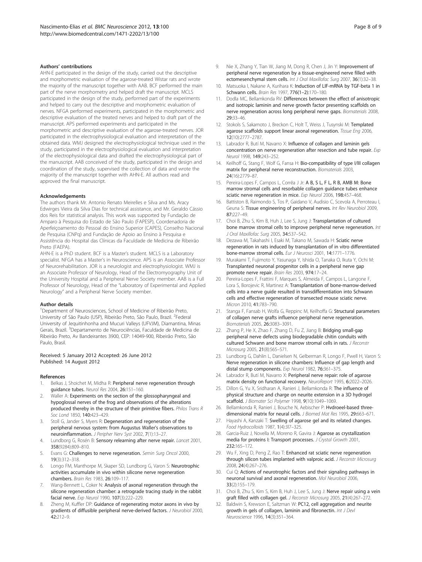#### <span id="page-7-0"></span>Authors' contributions

AHN-E participated in the design of the study, carried out the descriptive and morphometric evaluation of the agarose-treated Wistar rats and wrote the majority of the manuscript together with AAB. BCF performed the main part of the nerve morphometry and helped draft the manuscript. MCLS participated in the design of the study, performed part of the experiments and helped to carry out the descriptive and morphometric evaluation of nerves. NFGA performed experiments, participated in the morphometric and descriptive evaluation of the treated nerves and helped to draft part of the manuscript. APS performed experiments and participated in the morphometric and descriptive evaluation of the agarose-treated nerves. JOR participated in the electrophysiological evaluation and interpretation of the obtained data. WMJ designed the electrophysiological technique used in the study, participated in the electrophysiological evaluation and interpretation of the electrophysiological data and drafted the electrophysiological part of the manuscript. AAB conceived of the study, participated in the design and coordination of the study, supervised the collection of data and wrote the majority of the manuscript together with AHN-E. All authors read and approved the final manuscript.

#### Acknowledgements

The authors thank Mr. Antonio Renato Meirelles e Silva and Ms. Aracy Edwirges Vieira da Silva Dias for technical assistance, and Mr. Geraldo Cássio dos Reis for statistical analysis. This work was supported by Fundação de Amparo à Pesquisa do Estado de São Paulo (FAPESP), Coordenadoria de Aperfeiçoamento do Pessoal do Ensino Superior (CAPES), Conselho Nacional de Pesquisa (CNPq) and Fundação de Apoio ao Ensino à Pesquisa e Assistência do Hospital das Clínicas da Faculdade de Medicina de Ribeirão Preto (FAEPA).

AHN-E is a PhD student. BCF is a Master's student. MCLS is a Laboratory specialist. NFGA has a Master's in Neuroscience. APS is an Associate Professor of Neurorehabilitation. JOR is a neurologist and electrophysiologist. WMJ is an Associate Professor of Neurology, Head of the Electromyography Unit of the University Hospital and a Peripheral Nerve Society member. AAB is a Full Professor of Neurology, Head of the "Laboratory of Experimental and Applied Neurology" and a Peripheral Nerve Society member.

#### Author details

<sup>1</sup>Department of Neurosciences, School of Medicine of Ribeirão Preto, University of São Paulo (USP), Ribeirão Preto, São Paulo, Brazil. <sup>2</sup>Federal University of Jequitinhonha and Mucuri Valleys (UFVJM), Diamantina, Minas Gerais, Brazil. <sup>3</sup>Departamento de Neurociências, Faculdade de Medicina de Ribeirão Preto, Av Bandeirantes 3900, CEP: 14049-900, Ribeirão Preto, São Paulo, Brasil.

#### Received: 5 January 2012 Accepted: 26 June 2012 Published: 14 August 2012

#### References

- 1. Belkas J, Shoichet M, Midha R: Peripheral nerve regeneration through guidance tubes. Neurol Res 2004, 26:151–160.
- Waller A: Experiments on the section of the glossopharyngeal and hypoglossal nerves of the frog and observations of the alterations produced thereby in the structure of their primitive fibers. Philos Trans R Soc Lond 1850, 140:423–429.
- 3. Stoll G, Jander S, Myers R: Degeneration and regeneration of the peripheral nervous system: from Augustus Waller's observations to neuroinflammation. J Peripher Nerv Syst 2002, 7(1):13-27.
- 4. Lundborg G, Rosén B: Sensory relearning after nerve repair. Lancet 2001, 358(9284):809–810.
- Evans G: Challenges to nerve regeneration. Semin Surg Oncol 2000, 19(3):312–318.
- 6. Longo FM, Manthorpe M, Skaper SD, Lundborg G, Varon S: Neurotrophic activities accumulate in vivo within silicone nerve regeneration chambers. Brain Res 1983, 26:109–117.
- 7. Wang-Bennett L, Coker N: Analysis of axonal regeneration through the silicone regeneration chamber: a retrograde tracing study in the rabbit facial nerve. Exp Neurol 1990, 107(3):222–229.
- Zheng M, Kuffler DP: Guidance of regenerating motor axons in vivo by gradients of diffusible peripheral nerve-derived factors. J Neurobiol 2000, 42:212–9.
- Nie X, Zhang Y, Tian W, Jiang M, Dong R, Chen J, Jin Y: Improvement of peripheral nerve regeneration by a tissue-engineered nerve filled with ectomesenchymal stem cells. Int J Oral Maxillofac Surg 2007, 36(1):32–38.
- 10. Matsuoka I, Nakane A, Kurihara K: Induction of LIF-mRNA by TGF-beta 1 in Schwann cells. Brain Res 1997, 776(1–2):170–180.
- 11. Dodla MC, Bellamkonda RV: Differences between the effect of anisotropic and isotropic laminin and nerve growth factor presenting scaffolds on nerve regeneration across long peripheral nerve gaps. Biomaterials 2008, 29:33–46.
- 12. Stokols S, Sakamoto J, Breckon C, Holt T, Weiss J, Tusynski M: Templated agarose scaffolds support linear axonal regeneration. Tissue Eng 2006, 12(10):2777–2787.
- 13. Labrador R, Butí M, Navarro X: Influence of collagen and laminin gels concentration on nerve regeneration after resection and tube repair. Exp Neurol 1998, 149:243–252.
- 14. Keilhoff G, Stang F, Wolf G, Fansa H: Bio-compatibility of type I/III collagen matrix for peripheral nerve reconstruction. Biomaterials 2003, 24(16):2779–87.
- 15. Pereira-Lopes F, Campos L, Corrêa J Jr: A B, S L, F L, R B, AMB M: Bone marrow stromal cells and resorbable collagen guidance tubes enhance sciatic nerve regeneration in mice. Exp Neurol 2006, 198:457–468.
- 16. Battiston B, Raimondo S, Tos P, Gaidano V, Audisio C, Scevola A, Perroteau I, Geuna S: Tissue engineering of peripheral nerves. Int Rev Neurobiol 2009, 87:227–49.
- 17. Choi B, Zhu S, Kim B, Huh J, Lee S, Jung J: Transplantation of cultured bone marrow stromal cells to improve peripheral nerve regeneration. Int J Oral Maxillofac Surg 2005, 34:537–542.
- 18. Dezawa M, Takahashi I, Esaki M, Takano M, Sawada H: Sciatic nerve regeneration in rats induced by transplantation of in vitro differentiated bone-marrow stromal cells. Eur J Neurosci 2001, 14:1771–1776.
- 19. Murakami T, Fujimoto Y, Yasunaga Y, Ishida O, Tanaka O, Ikuta Y, Ochi M: Transplanted neuronal progenitor cells in a peripheral nerve gap promote nerve repair. Brain Res 2003, 974:17–24.
- 20. Pereira-Lopes F, Frattini F, Marques S, Almeida F, Campos L, Langone F, Lora S, Borojevic R, Martinez A: Transplantation of bone-marrow-derived cells into a nerve guide resulted in transdifferentiation into Schwann cells and effective regeneration of transected mouse sciatic nerve. Micron 2010, 41:783–790.
- 21. Stanga F, Fansab H, Wolfa G, Reppinc M, Keilhoffa G: Structural parameters of collagen nerve grafts influence peripheral nerve regeneration. Biomaterials 2005, 26:3083–3091.
- 22. Zhang P, He X, Zhao F, Zhang D, Fu Z, Jiang B: Bridging small-gap peripheral nerve defects using biodegradable chitin conduits with cultured Schwann and bone marrow stromal cells in rats. J Reconstr Microsurg 2005, 21(8):565–571.
- 23. Lundborg G, Dahlin L, Danielsen N, Gelberman R, Longo F, Pwell H, Varon S: Nerve regeneration in silicone chambers: Influence of gap length and distal stump components. Exp Neurol 1982, 76:361-375.
- 24. Labrador R, Butí M, Navarro X: Peripheral nerve repair: role of agarose matrix density on functional recovery. NeuroReport 1995, 6:2022–2026.
- 25. Dillon G, Yu X, Sridharan A, Ranieri J, Bellamkonda R: The influence of physical structure and charge on neurite extension in a 3D hydrogel scaffold. J Biomater Sci Polymer 1998, 9(10):1049–1069.
- 26. Bellamkonda R, Ranieri J, Bouche N, Aebischer P: Hvdroeel-based threedimensional matrix for neural cells. J Biomed Mat Res 1995, 29:663-671.
- 27. Hayashi A, Kanzaki T: Swelling of agarose gel and its related changes. Food Hydrocolloids 1987, 1(4):3l7–325.
- 28. Garcia-Ruiz J, Novella M, Moreno R, Gavira J: Agarose as crystallization media for proteins I: Transport processes. J Crystal Growth 2001, 232:165–172.
- 29. Wu F, Xing D, Peng Z, Rao T: Enhanced rat sciatic nerve regeneration through silicon tubes implanted with valproic acid. J Reconstr Microsurg 2008, 24(4):267–276.
- 30. Cui Q: Actions of neurotrophic factors and their signaling pathways in neuronal survival and axonal regeneration. Mol Neurobiol 2006, 33(2):155–179.
- 31. Choi B, Zhu S, Kim S, Kim B, Huh J, Lee S, Jung J: Nerve repair using a vein graft filled with collagen gel. J Reconstr Microsurg 2005, 21(4):267–272.
- 32. Baldwin S, Krewson E, Saltzman W: PC12, cell aggregation and neurite growth in gels of collagen, laminin and fibronectin. Int J Devl Neuroscience 1996, 14(3):351–364.